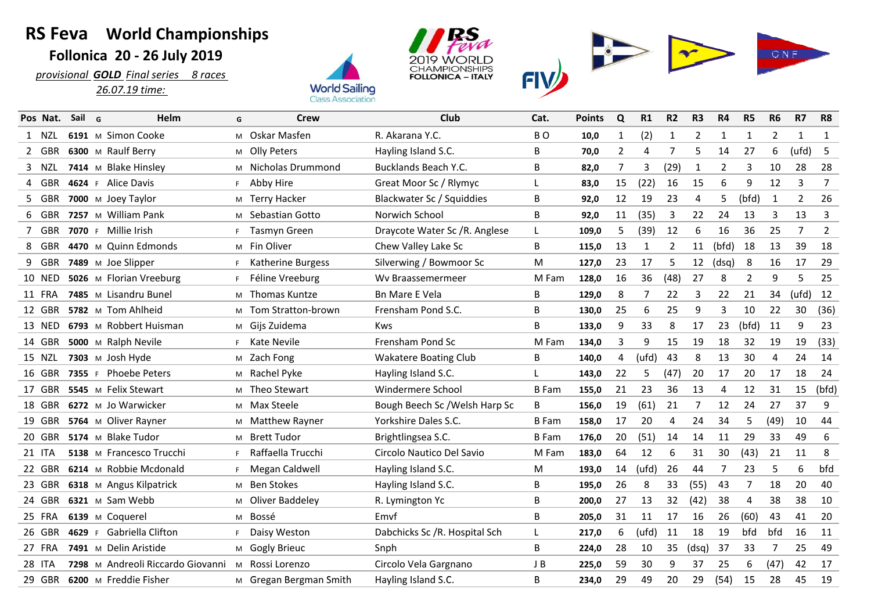## **RS Feva World Championships Follonica 20 - 26 July 2019**

 *provisional GOLD Final series 8 races 26.07.19 time:* 







|   | Pos Nat.      | Sail   | G | Helm                              | G  | Crew                   | Club                           | Cat.           | <b>Points</b> | Q  | R1             | R <sub>2</sub> | R <sub>3</sub>    | R4             | R <sub>5</sub> | R <sub>6</sub> | R7             | R8             |
|---|---------------|--------|---|-----------------------------------|----|------------------------|--------------------------------|----------------|---------------|----|----------------|----------------|-------------------|----------------|----------------|----------------|----------------|----------------|
|   | 1 NZL         |        |   | 6191 M Simon Cooke                | M  | Oskar Masfen           | R. Akarana Y.C.                | B <sub>O</sub> | 10,0          | 1  | (2)            | 1              | 2                 | 1              | $\mathbf{1}$   | 2              | 1              | 1              |
|   | 2 GBR         |        |   | 6300 M Raulf Berry                |    | M Olly Peters          | Hayling Island S.C.            | В              | 70,0          | 2  | 4              | $\overline{7}$ | 5                 | 14             | 27             | 6              | (ufd)          | -5             |
|   | 3 NZL         |        |   | 7414 M Blake Hinsley              |    | M Nicholas Drummond    | Bucklands Beach Y.C.           | B              | 82,0          | 7  | 3              | (29)           | 1                 | $\overline{2}$ | 3              | 10             | 28             | 28             |
|   | 4 GBR         |        |   | 4624 F Alice Davis                |    | F Abby Hire            | Great Moor Sc / Rlymyc         | L              | 83,0          | 15 | (22)           | 16             | 15                | 6              | 9              | 12             | 3              | $\overline{7}$ |
|   | 5 GBR         |        |   | 7000 M Joey Taylor                |    | M Terry Hacker         | Blackwater Sc / Squiddies      | B              | 92,0          | 12 | 19             | 23             | 4                 | 5              | (bfd)          | $\mathbf{1}$   | $\overline{2}$ | 26             |
|   | 6 GBR         |        |   | 7257 M William Pank               |    | M Sebastian Gotto      | Norwich School                 | B              | 92,0          | 11 | (35)           | 3              | 22                | 24             | 13             | 3              | 13             | 3              |
|   | 7 GBR         |        |   | 7070 F Millie Irish               | F. | <b>Tasmyn Green</b>    | Draycote Water Sc /R. Anglese  | L              | 109,0         | 5  | (39)           | 12             | 6                 | 16             | 36             | 25             | 7              | $\overline{2}$ |
| 8 | GBR           |        |   | 4470 M Quinn Edmonds              |    | M Fin Oliver           | Chew Valley Lake Sc            | B              | 115,0         | 13 | 1              | 2              | 11                | (bfd)          | 18             | 13             | 39             | 18             |
|   | 9 GBR         |        |   | 7489 M Joe Slipper                | F. | Katherine Burgess      | Silverwing / Bowmoor Sc        | M              | 127,0         | 23 | 17             | 5              | $12 \overline{ }$ | (dsq)          | 8              | 16             | 17             | 29             |
|   | <b>10 NED</b> |        |   | 5026 M Florian Vreeburg           | F. | Féline Vreeburg        | Wy Braassemermeer              | M Fam          | 128,0         | 16 | 36             | (48)           | 27                | 8              | $\overline{2}$ | 9              | 5              | 25             |
|   | 11 FRA        |        |   | 7485 M Lisandru Bunel             |    | M Thomas Kuntze        | <b>Bn Mare E Vela</b>          | B              | 129,0         | 8  | $\overline{7}$ | 22             | 3                 | 22             | 21             | 34             | (ufd)          | 12             |
|   | 12 GBR        |        |   | 5782 M Tom Ahlheid                | M  | Tom Stratton-brown     | Frensham Pond S.C.             | В              | 130,0         | 25 | 6              | 25             | 9                 | 3              | 10             | 22             | 30             | (36)           |
|   | 13 NED        |        |   | 6793 M Robbert Huisman            |    | M Gijs Zuidema         | <b>Kws</b>                     | В              | 133,0         | 9  | 33             | 8              | 17                | 23             | (bfd)          | 11             | 9              | 23             |
|   | 14 GBR        |        |   | 5000 M Ralph Nevile               | F. | Kate Nevile            | Frensham Pond Sc               | M Fam          | 134.0         | 3  | 9              | 15             | 19                | 18             | 32             | 19             | 19             | (33)           |
|   | 15 NZL        |        |   | 7303 M Josh Hyde                  |    | M Zach Fong            | <b>Wakatere Boating Club</b>   | B              | 140,0         | 4  | (ufd)          | 43             | 8                 | 13             | 30             | 4              | 24             | 14             |
|   | 16 GBR        |        |   | 7355 F Phoebe Peters              |    | M Rachel Pyke          | Hayling Island S.C.            | L              | 143,0         | 22 | 5              | (47)           | 20                | 17             | 20             | 17             | 18             | 24             |
|   | 17 GBR        |        |   | 5545 M Felix Stewart              | M  | Theo Stewart           | Windermere School              | <b>B</b> Fam   | 155,0         | 21 | 23             | 36             | 13                | 4              | 12             | 31             | 15             | (bfd)          |
|   | 18 GBR        |        |   | 6272 M Jo Warwicker               |    | M Max Steele           | Bough Beech Sc / Welsh Harp Sc | В              | 156,0         | 19 | (61)           | 21             | 7                 | 12             | 24             | 27             | 37             | 9              |
|   | 19 GBR        |        |   | 5764 M Oliver Rayner              |    | M Matthew Rayner       | Yorkshire Dales S.C.           | <b>B</b> Fam   | 158,0         | 17 | 20             | 4              | 24                | 34             | 5              | (49)           | 10             | 44             |
|   | 20 GBR        |        |   | 5174 M Blake Tudor                |    | M Brett Tudor          | Brightlingsea S.C.             | <b>B</b> Fam   | 176.0         | 20 | (51)           | 14             | 14                | 11             | 29             | 33             | 49             | 6              |
|   | 21 ITA        |        |   | 5138 M Francesco Trucchi          | F. | Raffaella Trucchi      | Circolo Nautico Del Savio      | M Fam          | 183,0         | 64 | 12             | 6              | 31                | 30             | (43)           | 21             | 11             | 8              |
|   | 22 GBR        |        |   | 6214 M Robbie Mcdonald            |    | F Megan Caldwell       | Hayling Island S.C.            | M              | 193,0         | 14 | (ufd)          | 26             | 44                | 7              | 23             | 5              | 6              | bfd            |
|   | 23 GBR        |        |   | 6318 M Angus Kilpatrick           |    | M Ben Stokes           | Hayling Island S.C.            | B              | 195,0         | 26 | 8              | 33             | (55)              | 43             | 7              | 18             | 20             | 40             |
|   | 24 GBR        |        |   | 6321 M Sam Webb                   |    | M Oliver Baddeley      | R. Lymington Yc                | В              | 200,0         | 27 | 13             | 32             | (42)              | 38             | $\overline{4}$ | 38             | 38             | 10             |
|   | 25 FRA        |        |   | 6139 M Coquerel                   |    | M Bossé                | Emvf                           | В              | 205,0         | 31 | 11             | 17             | 16                | 26             | (60)           | 43             | 41             | 20             |
|   | 26 GBR        | 4629 F |   | Gabriella Clifton                 | F. | Daisy Weston           | Dabchicks Sc /R. Hospital Sch  | L              | 217,0         | 6  | (ufd)          | 11             | 18                | 19             | bfd            | bfd            | 16             | 11             |
|   | 27 FRA        |        |   | 7491 M Delin Aristide             |    | M Gogly Brieuc         | Snph                           | B              | 224,0         | 28 | 10             | 35             | (dsq)             | 37             | 33             | 7              | 25             | 49             |
|   | <b>28 ITA</b> |        |   | 7298 M Andreoli Riccardo Giovanni |    | M Rossi Lorenzo        | Circolo Vela Gargnano          | J B            | 225,0         | 59 | 30             | 9              | 37                | 25             | 6              | (47)           | 42             | 17             |
|   | 29 GBR        |        |   | 6200 M Freddie Fisher             |    | M Gregan Bergman Smith | Hayling Island S.C.            | B              | 234,0         | 29 | 49             | 20             | 29                | (54)           | 15             | 28             | 45             | 19             |
|   |               |        |   |                                   |    |                        |                                |                |               |    |                |                |                   |                |                |                |                |                |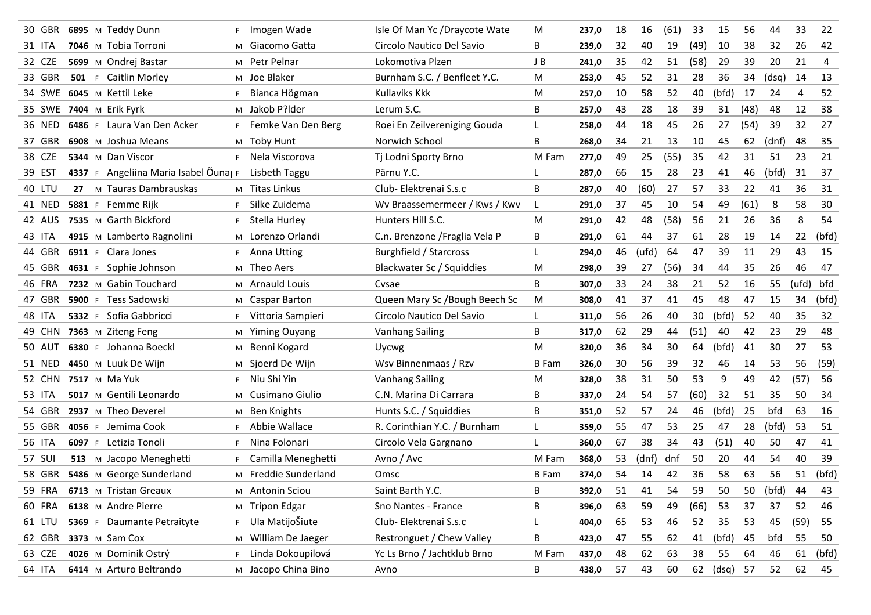| 30 GBR | 6895 M Teddy Dunn                     |    | Imogen Wade          | Isle Of Man Yc /Draycote Wate  | M            | 237,0 | 18 | 16    | (61) | 33   | 15          | 56   | 44    | 33    | 22    |
|--------|---------------------------------------|----|----------------------|--------------------------------|--------------|-------|----|-------|------|------|-------------|------|-------|-------|-------|
| 31 ITA | 7046 M Tobia Torroni                  |    | M Giacomo Gatta      | Circolo Nautico Del Savio      | B            | 239,0 | 32 | 40    | 19   | (49) | 10          | 38   | 32    | 26    | 42    |
| 32 CZE | 5699 M Ondrej Bastar                  |    | M Petr Pelnar        | Lokomotiva Plzen               | J B          | 241,0 | 35 | 42    | 51   | (58) | 29          | 39   | 20    | 21    | 4     |
| 33 GBR | 501 F Caitlin Morley                  |    | M Joe Blaker         | Burnham S.C. / Benfleet Y.C.   | м            | 253,0 | 45 | 52    | 31   | 28   | 36          | 34   | (dsq) | 14    | 13    |
| 34 SWE | 6045 M Kettil Leke                    | F  | Bianca Högman        | Kullaviks Kkk                  | M            | 257,0 | 10 | 58    | 52   | 40   | (bfd)       | 17   | 24    | 4     | 52    |
| 35 SWE | 7404 M Erik Fyrk                      |    | M Jakob P?lder       | Lerum S.C.                     | В            | 257,0 | 43 | 28    | 18   | 39   | 31          | (48) | 48    | 12    | 38    |
| 36 NED | 6486 F Laura Van Den Acker            | F. | Femke Van Den Berg   | Roei En Zeilvereniging Gouda   | L.           | 258,0 | 44 | 18    | 45   | 26   | 27          | (54) | 39    | 32    | 27    |
| 37 GBR | 6908 M Joshua Means                   |    | M Toby Hunt          | Norwich School                 | B            | 268,0 | 34 | 21    | 13   | 10   | 45          | 62   | (dnf) | 48    | 35    |
| 38 CZE | 5344 M Dan Viscor                     | F. | Nela Viscorova       | Tj Lodni Sporty Brno           | M Fam        | 277,0 | 49 | 25    | (55) | 35   | 42          | 31   | 51    | 23    | 21    |
| 39 EST | 4337 F Angeliina Maria Isabel Õunal F |    | Lisbeth Taggu        | Pärnu Y.C.                     | L            | 287,0 | 66 | 15    | 28   | 23   | 41          | 46   | (bfd) | 31    | 37    |
| 40 LTU | M Tauras Dambrauskas<br>27            |    | M Titas Linkus       | Club- Elektrenai S.s.c         | B            | 287,0 | 40 | (60)  | 27   | 57   | 33          | 22   | 41    | 36    | 31    |
| 41 NED | 5881 F Femme Rijk                     |    | Silke Zuidema        | Wv Braassemermeer / Kws / Kwv  | L            | 291,0 | 37 | 45    | 10   | 54   | 49          | (61) | 8     | 58    | 30    |
| 42 AUS | 7535 M Garth Bickford                 | F. | Stella Hurley        | Hunters Hill S.C.              | M            | 291,0 | 42 | 48    | (58) | 56   | 21          | 26   | 36    | 8     | 54    |
| 43 ITA | 4915 M Lamberto Ragnolini             |    | M Lorenzo Orlandi    | C.n. Brenzone / Fraglia Vela P | В            | 291,0 | 61 | 44    | 37   | 61   | 28          | 19   | 14    | 22    | (bfd) |
| 44 GBR | 6911 F Clara Jones                    | F. | Anna Utting          | Burghfield / Starcross         | L            | 294,0 | 46 | (ufd) | 64   | 47   | 39          | 11   | 29    | 43    | 15    |
| 45 GBR | Sophie Johnson<br>4631 F              |    | M Theo Aers          | Blackwater Sc / Squiddies      | M            | 298,0 | 39 | 27    | (56) | 34   | 44          | 35   | 26    | 46    | 47    |
| 46 FRA | 7232 M Gabin Touchard                 |    | M Arnauld Louis      | Cysae                          | В            | 307,0 | 33 | 24    | 38   | 21   | 52          | 16   | 55    | (ufd) | bfd   |
| 47 GBR | 5900 F Tess Sadowski                  |    | M Caspar Barton      | Queen Mary Sc /Bough Beech Sc  | м            | 308,0 | 41 | 37    | 41   | 45   | 48          | 47   | 15    | 34    | (bfd) |
| 48 ITA | 5332 F Sofia Gabbricci                | F. | Vittoria Sampieri    | Circolo Nautico Del Savio      | L            | 311,0 | 56 | 26    | 40   | 30   | (bfd)       | 52   | 40    | 35    | 32    |
| 49 CHN | 7363 M Ziteng Feng                    | M  | <b>Yiming Ouyang</b> | <b>Vanhang Sailing</b>         | B            | 317,0 | 62 | 29    | 44   | (51) | 40          | 42   | 23    | 29    | 48    |
| 50 AUT | 6380 F Johanna Boeckl                 |    | M Benni Kogard       | Uycwg                          | м            | 320,0 | 36 | 34    | 30   | 64   | (bfd)       | 41   | 30    | 27    | 53    |
| 51 NED | 4450 M Luuk De Wijn                   |    | M Sjoerd De Wijn     | Wsv Binnenmaas / Rzv           | <b>B</b> Fam | 326,0 | 30 | 56    | 39   | 32   | 46          | 14   | 53    | 56    | (59)  |
| 52 CHN | 7517 M Ma Yuk                         | F. | Niu Shi Yin          | <b>Vanhang Sailing</b>         | M            | 328,0 | 38 | 31    | 50   | 53   | 9           | 49   | 42    | (57)  | 56    |
| 53 ITA | 5017 M Gentili Leonardo               |    | M Cusimano Giulio    | C.N. Marina Di Carrara         | В            | 337,0 | 24 | 54    | 57   | (60) | 32          | 51   | 35    | 50    | 34    |
| 54 GBR | 2937 M Theo Deverel                   | M  | <b>Ben Knights</b>   | Hunts S.C. / Squiddies         | В            | 351,0 | 52 | 57    | 24   | 46   | (bfd)       | 25   | bfd   | 63    | 16    |
| 55 GBR | 4056 F Jemima Cook                    | F. | Abbie Wallace        | R. Corinthian Y.C. / Burnham   | L            | 359,0 | 55 | 47    | 53   | 25   | 47          | 28   | (bfd) | 53    | 51    |
| 56 ITA | 6097 F Letizia Tonoli                 | F. | Nina Folonari        | Circolo Vela Gargnano          | L            | 360,0 | 67 | 38    | 34   | 43   | (51)        | 40   | 50    | 47    | 41    |
| 57 SUI | M Jacopo Meneghetti<br>513            | F. | Camilla Meneghetti   | Avno / Avc                     | M Fam        | 368,0 | 53 | (dnf) | dnf  | 50   | 20          | 44   | 54    | 40    | 39    |
| 58 GBR | 5486 M George Sunderland              |    | M Freddie Sunderland | Omsc                           | <b>B</b> Fam | 374,0 | 54 | 14    | 42   | 36   | 58          | 63   | 56    | 51    | (bfd) |
| 59 FRA | 6713 M Tristan Greaux                 |    | M Antonin Sciou      | Saint Barth Y.C.               | В            | 392,0 | 51 | 41    | 54   | 59   | 50          | 50   | (bfd) | 44    | 43    |
| 60 FRA | 6138 M Andre Pierre                   |    | M Tripon Edgar       | Sno Nantes - France            | В            | 396,0 | 63 | 59    | 49   | (66) | 53          | 37   | 37    | 52    | 46    |
| 61 LTU | 5369 F Daumante Petraityte            |    | F Ula MatijoŠiute    | Club- Elektrenai S.s.c         | L.           | 404,0 | 65 | 53    | 46   | 52   | 35          | 53   | 45    | (59)  | 55    |
| 62 GBR | 3373 M Sam Cox                        |    | M William De Jaeger  | Restronguet / Chew Valley      | B            | 423,0 | 47 | 55    | 62   | 41   | (bfd)       | 45   | bfd   | 55    | 50    |
| 63 CZE | 4026 M Dominik Ostrý                  | F. | Linda Dokoupilová    | Yc Ls Brno / Jachtklub Brno    | M Fam        | 437,0 | 48 | 62    | 63   | 38   | 55          | 64   | 46    | 61    | (bfd) |
| 64 ITA | 6414 M Arturo Beltrando               |    | M Jacopo China Bino  | Avno                           | B            | 438,0 | 57 | 43    | 60   |      | 62 (dsq) 57 |      | 52    | 62    | 45    |
|        |                                       |    |                      |                                |              |       |    |       |      |      |             |      |       |       |       |